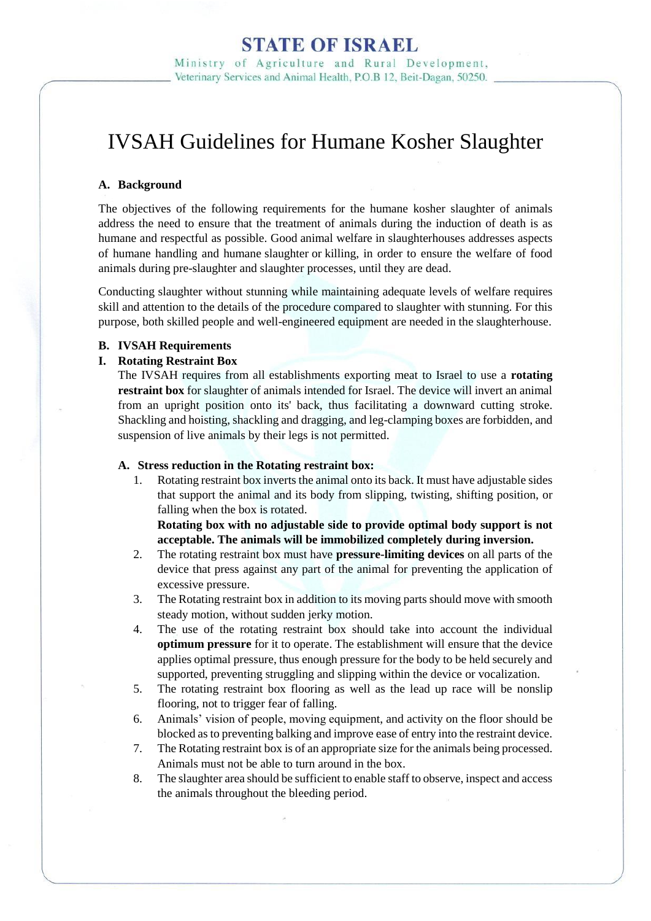Ministry of Agriculture and Rural Development. Veterinary Services and Animal Health, P.O.B 12, Beit-Dagan, 50250.

# IVSAH Guidelines for Humane Kosher Slaughter

## **A. Background**

The objectives of the following requirements for the humane kosher slaughter of animals address the need to ensure that the treatment of animals during the induction of death is as humane and respectful as possible. Good [animal welfare](http://www.oie.int/index.php?id=169&L=0&htmfile=glossaire.htm#terme_bien_etre_animal) in slaughterhouses addresses aspects of humane handling and humane [slaughter](http://www.oie.int/index.php?id=169&L=0&htmfile=glossaire.htm#terme_abattage) or [killing,](http://www.oie.int/index.php?id=169&L=0&htmfile=glossaire.htm#terme_mise_a_mort) in order to ensure the welfare of food animals during pre-slaughter and slaughter processes, until they are dead.

Conducting slaughter without stunning while maintaining adequate levels of welfare requires skill and attention to the details of the procedure compared to slaughter with stunning. For this purpose, both skilled people and well-engineered equipment are needed in the slaughterhouse.

### **B. IVSAH Requirements**

### **I. Rotating Restraint Box**

The IVSAH requires from all establishments exporting meat to Israel to use a **rotating restraint box** for slaughter of animals intended for Israel. The device will invert an animal from an upright position onto its' back, thus facilitating a downward cutting stroke. Shackling and hoisting, shackling and dragging, and leg-clamping boxes are forbidden, and suspension of live animals by their legs is not permitted.

### **A. Stress reduction in the Rotating restraint box:**

1. Rotating restraint box inverts the animal onto its back. It must have adjustable sides that support the animal and its body from slipping, twisting, shifting position, or falling when the box is rotated.

**Rotating box with no adjustable side to provide optimal body support is not acceptable. The animals will be immobilized completely during inversion.**

- 2. The rotating restraint box must have **pressure-limiting devices** on all parts of the device that press against any part of the animal for preventing the application of excessive pressure.
- 3. The Rotating restraint box in addition to its moving parts should move with smooth steady motion, without sudden jerky motion.
- 4. The use of the rotating restraint box should take into account the individual **optimum pressure** for it to operate. The establishment will ensure that the device applies optimal pressure, thus enough pressure for the body to be held securely and supported, preventing struggling and slipping within the device or vocalization.
- 5. The rotating restraint box flooring as well as the lead up race will be nonslip flooring, not to trigger fear of falling.
- 6. Animals' vision of people, moving equipment, and activity on the floor should be blocked as to preventing balking and improve ease of entry into the restraint device.
- 7. The Rotating restraint box is of an appropriate size for the animals being processed. Animals must not be able to turn around in the box.
- 8. The slaughter area should be sufficient to enable staff to observe, inspect and access the animals throughout the bleeding period.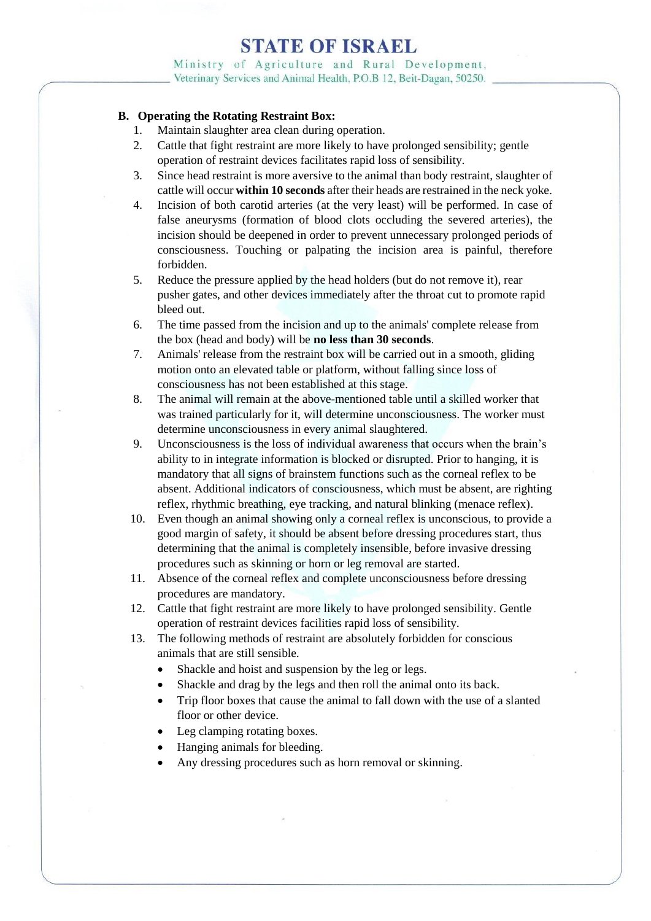Ministry of Agriculture and Rural Development, Veterinary Services and Animal Health, P.O.B 12, Beit-Dagan, 50250.

## **B. Operating the Rotating Restraint Box:**

- 1. Maintain slaughter area clean during operation.
- 2. Cattle that fight restraint are more likely to have prolonged sensibility; gentle operation of restraint devices facilitates rapid loss of sensibility.
- 3. Since head restraint is more aversive to the animal than body restraint, slaughter of cattle will occur **within 10 seconds** after their heads are restrained in the neck yoke.
- 4. Incision of both carotid arteries (at the very least) will be performed. In case of false aneurysms (formation of blood clots occluding the severed arteries), the incision should be deepened in order to prevent unnecessary prolonged periods of consciousness. Touching or palpating the incision area is painful, therefore forbidden.
- 5. Reduce the pressure applied by the head holders (but do not remove it), rear pusher gates, and other devices immediately after the throat cut to promote rapid bleed out.
- 6. The time passed from the incision and up to the animals' complete release from the box (head and body) will be **no less than 30 seconds**.
- 7. Animals' release from the restraint box will be carried out in a smooth, gliding motion onto an elevated table or platform, without falling since loss of consciousness has not been established at this stage.
- 8. The animal will remain at the above-mentioned table until a skilled worker that was trained particularly for it, will determine unconsciousness. The worker must determine unconsciousness in every animal slaughtered.
- 9. Unconsciousness is the loss of individual awareness that occurs when the brain's ability to in integrate information is blocked or disrupted. Prior to hanging, it is mandatory that all signs of brainstem functions such as the corneal reflex to be absent. Additional indicators of consciousness, which must be absent, are righting reflex, rhythmic breathing, eye tracking, and natural blinking (menace reflex).
- 10. Even though an animal showing only a corneal reflex is unconscious, to provide a good margin of safety, it should be absent before dressing procedures start, thus determining that the animal is completely insensible, before invasive dressing procedures such as skinning or horn or leg removal are started.
- 11. Absence of the corneal reflex and complete unconsciousness before dressing procedures are mandatory.
- 12. Cattle that fight restraint are more likely to have prolonged sensibility. Gentle operation of restraint devices facilities rapid loss of sensibility.
- 13. The following methods of restraint are absolutely forbidden for conscious animals that are still sensible.
	- Shackle and hoist and suspension by the leg or legs.
	- Shackle and drag by the legs and then roll the animal onto its back.
	- Trip floor boxes that cause the animal to fall down with the use of a slanted floor or other device.
	- Leg clamping rotating boxes.
	- Hanging animals for bleeding.
	- Any dressing procedures such as horn removal or skinning.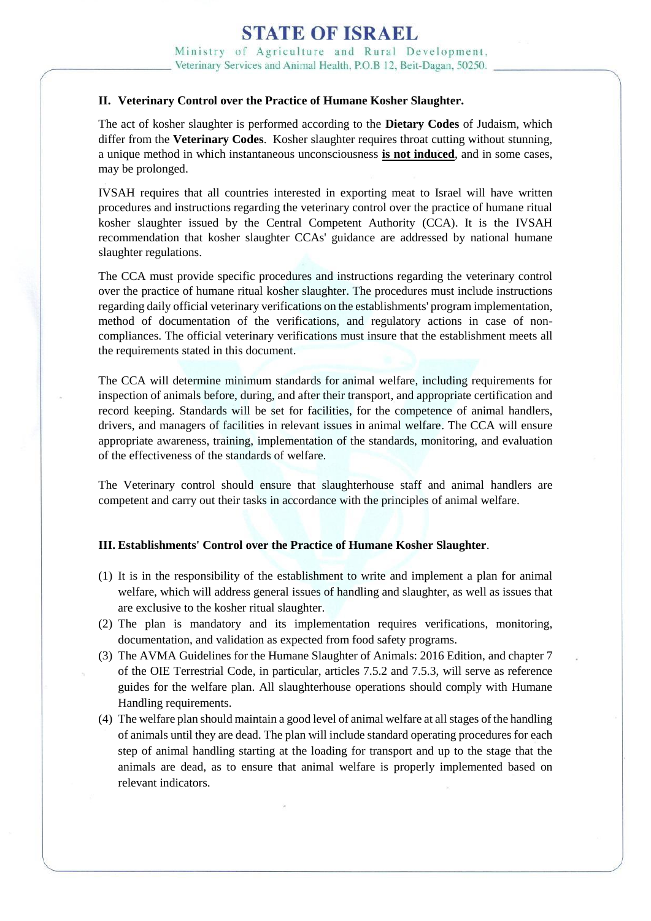Ministry of Agriculture and Rural Development. Veterinary Services and Animal Health, P.O.B 12, Beit-Dagan, 50250.

## **II. Veterinary Control over the Practice of Humane Kosher Slaughter.**

The act of kosher slaughter is performed according to the **Dietary Codes** of Judaism, which differ from the **Veterinary Codes**. Kosher slaughter requires throat cutting without stunning, a unique method in which instantaneous unconsciousness **is not induced**, and in some cases, may be prolonged.

IVSAH requires that all countries interested in exporting meat to Israel will have written procedures and instructions regarding the veterinary control over the practice of humane ritual kosher slaughter issued by the Central Competent Authority (CCA). It is the IVSAH recommendation that kosher slaughter CCAs' guidance are addressed by national humane slaughter regulations.

The CCA must provide specific procedures and instructions regarding the veterinary control over the practice of humane ritual kosher slaughter. The procedures must include instructions regarding daily official veterinary verifications on the establishments' program implementation, method of documentation of the verifications, and regulatory actions in case of noncompliances. The official veterinary verifications must insure that the establishment meets all the requirements stated in this document.

The CCA will determine minimum standards for [animal welfare,](http://www.oie.int/index.php?id=169&L=0&htmfile=glossaire.htm#terme_bien_etre_animal) including requirements for inspection of animals before, during, and after their transport, and appropriate certification and record keeping. Standards will be set for facilities, for the competence of animal handlers, drivers, and managers of facilities in relevant issues in animal welfare. The CCA will ensure appropriate awareness, training, implementation of the standards, monitoring, and evaluation of the effectiveness of the standards of welfare.

The Veterinary control should ensure that slaughterhouse staff and animal handlers are competent and carry out their tasks in accordance with the principles of animal welfare.

## **III. Establishments' Control over the Practice of Humane Kosher Slaughter**.

- (1) It is in the responsibility of the establishment to write and implement a plan for animal welfare, which will address general issues of handling and slaughter, as well as issues that are exclusive to the kosher ritual slaughter.
- (2) The plan is mandatory and its implementation requires verifications, monitoring, documentation, and validation as expected from food safety programs.
- (3) The AVMA Guidelines for the Humane Slaughter of Animals: 2016 Edition, and chapter 7 of the OIE Terrestrial Code, in particular, articles 7.5.2 and 7.5.3, will serve as reference guides for the welfare plan. All slaughterhouse operations should comply with Humane Handling requirements.
- (4) The welfare plan should maintain a good level of animal welfare at all stages of the handling of animals until they are dead. The plan will include standard operating procedures for each step of animal handling starting at the loading for transport and up to the stage that the animals are dead, as to ensure that animal welfare is properly implemented based on relevant indicators.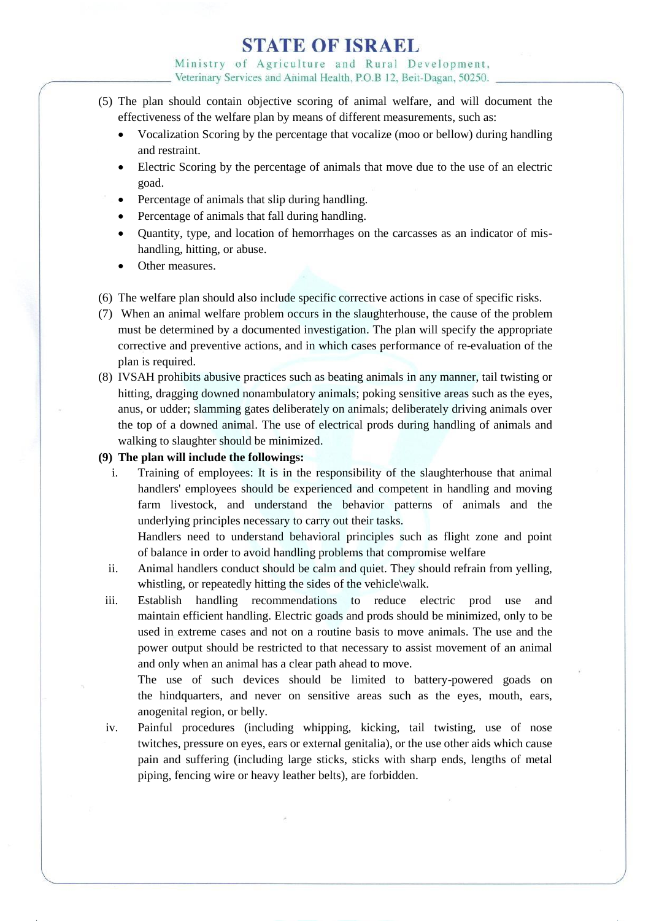Ministry of Agriculture and Rural Development, Veterinary Services and Animal Health, P.O.B 12, Beit-Dagan, 50250.

- (5) The plan should contain objective scoring of animal welfare, and will document the effectiveness of the welfare plan by means of different measurements, such as:
	- Vocalization Scoring by the percentage that vocalize (moo or bellow) during handling and restraint.
	- Electric Scoring by the percentage of animals that move due to the use of an electric goad.
	- Percentage of animals that slip during handling.
	- Percentage of animals that fall during handling.
	- Quantity, type, and location of hemorrhages on the carcasses as an indicator of mishandling, hitting, or abuse.
	- Other measures.
- (6) The welfare plan should also include specific corrective actions in case of specific risks.
- (7) When an animal welfare problem occurs in the slaughterhouse, the cause of the problem must be determined by a documented investigation. The plan will specify the appropriate corrective and preventive actions, and in which cases performance of re-evaluation of the plan is required.
- (8) IVSAH prohibits abusive practices such as beating animals in any manner, tail twisting or hitting, dragging downed nonambulatory animals; poking sensitive areas such as the eyes. anus, or udder; slamming gates deliberately on animals; deliberately driving animals over the top of a downed animal. The use of electrical prods during handling of animals and walking to slaughter should be minimized.

### **(9) The plan will include the followings:**

i. Training of employees: It is in the responsibility of the slaughterhouse that animal handlers' employees should be experienced and competent in handling and moving farm livestock, and understand the behavior patterns of animals and the underlying principles necessary to carry out their tasks.

Handlers need to understand behavioral principles such as flight zone and point of balance in order to avoid handling problems that compromise welfare

- ii. Animal handlers conduct should be calm and quiet. They should refrain from yelling, whistling, or repeatedly hitting the sides of the vehicle\walk.
- iii. Establish handling recommendations to reduce electric prod use and maintain efficient handling. Electric goads and prods should be minimized, only to be used in extreme cases and not on a routine basis to move animals. The use and the power output should be restricted to that necessary to assist movement of an animal and only when an animal has a clear path ahead to move.

The use of such devices should be limited to battery-powered goads on the hindquarters, and never on sensitive areas such as the eyes, mouth, ears, anogenital region, or belly.

iv. Painful procedures (including whipping, kicking, tail twisting, use of nose twitches, pressure on eyes, ears or external genitalia), or the use other aids which cause pain and suffering (including large sticks, sticks with sharp ends, lengths of metal piping, fencing wire or heavy leather belts), are forbidden.